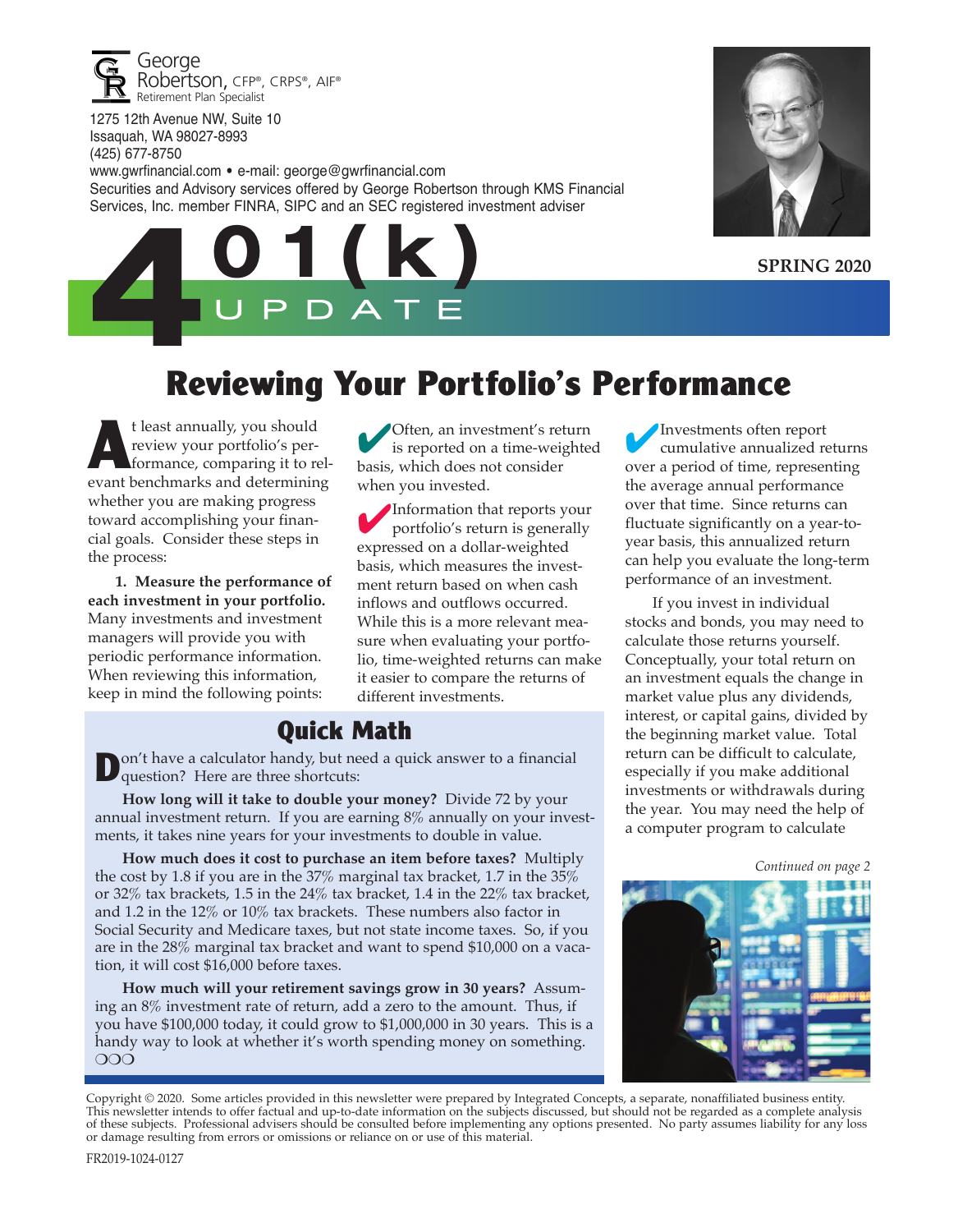

1275 12th Avenue NW, Suite 10 Issaquah, WA 98027-8993 (425) 677-8750

www.gwrfinancial.com • e-mail: george@gwrfinancial.com Securities and Advisory services offered by George Robertson through KMS Financial Services, Inc. member FINRA, SIPC and an SEC registered investment adviser



**SPRING 2020**



# **Reviewing Your Portfolio's Performance**

t least annually, you should<br>review your portfolio's per-<br>formance, comparing it to reveal review your portfolio's performance, comparing it to relevant benchmarks and determining whether you are making progress toward accomplishing your financial goals. Consider these steps in the process:

**1. Measure the performance of each investment in your portfolio.** Many investments and investment managers will provide you with periodic performance information. When reviewing this information, keep in mind the following points:

4Often, an investment's return is reported on a time-weighted basis, which does not consider when you invested.

4Information that reports your portfolio's return is generally expressed on a dollar-weighted basis, which measures the investment return based on when cash inflows and outflows occurred. While this is a more relevant measure when evaluating your portfolio, time-weighted returns can make it easier to compare the returns of different investments.

#### **Quick Math**

**D** on't have a calculator handy, but need a quick answer to a financial question? Here are three shortcuts:

**How long will it take to double your money?** Divide 72 by your annual investment return. If you are earning 8% annually on your investments, it takes nine years for your investments to double in value.

**How much does it cost to purchase an item before taxes?** Multiply the cost by 1.8 if you are in the 37% marginal tax bracket, 1.7 in the 35% or 32% tax brackets, 1.5 in the 24% tax bracket, 1.4 in the 22% tax bracket, and 1.2 in the 12% or 10% tax brackets. These numbers also factor in Social Security and Medicare taxes, but not state income taxes. So, if you are in the 28% marginal tax bracket and want to spend \$10,000 on a vacation, it will cost \$16,000 before taxes.

**How much will your retirement savings grow in 30 years?** Assuming an 8% investment rate of return, add a zero to the amount. Thus, if you have \$100,000 today, it could grow to \$1,000,000 in 30 years. This is a handy way to look at whether it's worth spending money on something. OOO

4Investments often report cumulative annualized returns over a period of time, representing the average annual performance over that time. Since returns can fluctuate significantly on a year-toyear basis, this annualized return can help you evaluate the long-term performance of an investment.

If you invest in individual stocks and bonds, you may need to calculate those returns yourself. Conceptually, your total return on an investment equals the change in market value plus any dividends, interest, or capital gains, divided by the beginning market value. Total return can be difficult to calculate, especially if you make additional investments or withdrawals during the year. You may need the help of a computer program to calculate

*Continued on page 2*



Copyright © 2020. Some articles provided in this newsletter were prepared by Integrated Concepts, a separate, nonaffiliated business entity. This newsletter intends to offer factual and up-to-date information on the subjects discussed, but should not be regarded as a complete analysis of these subjects. Professional advisers should be consulted before implementing any options presented. No party assumes liability for any loss or damage resulting from errors or omissions or reliance on or use of this material.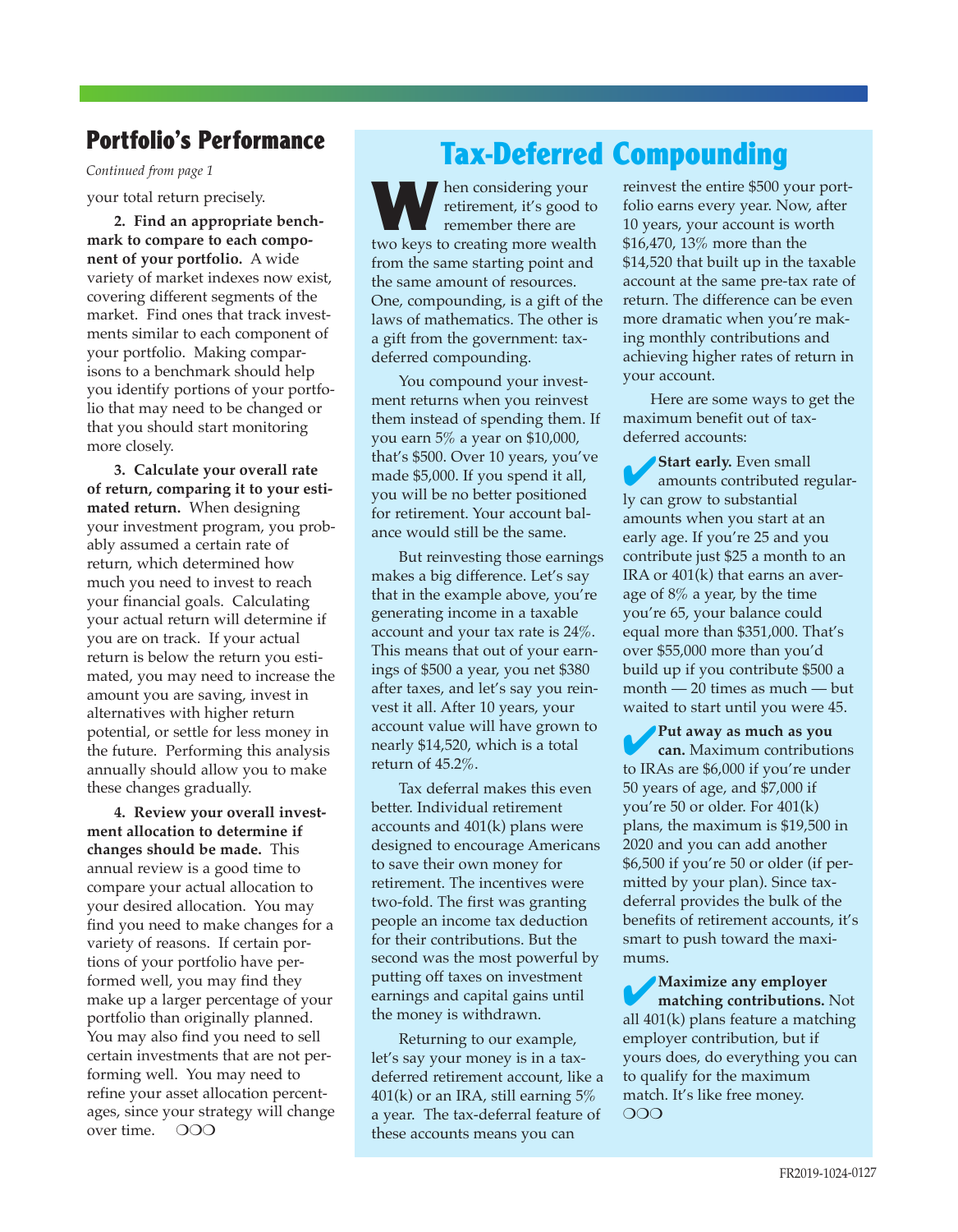#### **Portfolio's Performance**

your total return precisely.

**2. Find an appropriate benchmark to compare to each component of your portfolio.** A wide variety of market indexes now exist, covering different segments of the market. Find ones that track investments similar to each component of your portfolio. Making comparisons to a benchmark should help you identify portions of your portfolio that may need to be changed or that you should start monitoring more closely.

**3. Calculate your overall rate of return, comparing it to your estimated return.** When designing your investment program, you probably assumed a certain rate of return, which determined how much you need to invest to reach your financial goals. Calculating your actual return will determine if you are on track. If your actual return is below the return you estimated, you may need to increase the amount you are saving, invest in alternatives with higher return potential, or settle for less money in the future. Performing this analysis annually should allow you to make these changes gradually.

**4. Review your overall investment allocation to determine if changes should be made.** This annual review is a good time to compare your actual allocation to your desired allocation. You may find you need to make changes for a variety of reasons. If certain portions of your portfolio have performed well, you may find they make up a larger percentage of your portfolio than originally planned. You may also find you need to sell certain investments that are not performing well. You may need to refine your asset allocation percentages, since your strategy will change over time.  $\Omega$ OO

# Portfolio's Performance<br>
Continued from page 1

**W** hen considering your<br>retirement, it's good to<br>remember there are retirement, it's good to remember there are two keys to creating more wealth from the same starting point and the same amount of resources. One, compounding, is a gift of the laws of mathematics. The other is a gift from the government: taxdeferred compounding.

You compound your investment returns when you reinvest them instead of spending them. If you earn 5% a year on \$10,000, that's \$500. Over 10 years, you've made \$5,000. If you spend it all, you will be no better positioned for retirement. Your account balance would still be the same.

But reinvesting those earnings makes a big difference. Let's say that in the example above, you're generating income in a taxable account and your tax rate is 24%. This means that out of your earnings of \$500 a year, you net \$380 after taxes, and let's say you reinvest it all. After 10 years, your account value will have grown to nearly \$14,520, which is a total return of 45.2%.

Tax deferral makes this even better. Individual retirement accounts and 401(k) plans were designed to encourage Americans to save their own money for retirement. The incentives were two-fold. The first was granting people an income tax deduction for their contributions. But the second was the most powerful by putting off taxes on investment earnings and capital gains until the money is withdrawn.

Returning to our example, let's say your money is in a taxdeferred retirement account, like a  $401(k)$  or an IRA, still earning  $5\%$ a year. The tax-deferral feature of these accounts means you can

reinvest the entire \$500 your portfolio earns every year. Now, after 10 years, your account is worth \$16,470, 13% more than the \$14,520 that built up in the taxable account at the same pre-tax rate of return. The difference can be even more dramatic when you're making monthly contributions and achieving higher rates of return in your account.

Here are some ways to get the maximum benefit out of taxdeferred accounts:

**4**Start early. Even small<br>amounts contributed regularly can grow to substantial amounts when you start at an early age. If you're 25 and you contribute just \$25 a month to an IRA or 401(k) that earns an average of 8% a year, by the time you're 65, your balance could equal more than \$351,000. That's over \$55,000 more than you'd build up if you contribute \$500 a month — 20 times as much — but waited to start until you were 45.

4**Put away as much as you can.** Maximum contributions to IRAs are \$6,000 if you're under 50 years of age, and \$7,000 if you're 50 or older. For 401(k) plans, the maximum is \$19,500 in 2020 and you can add another \$6,500 if you're 50 or older (if permitted by your plan). Since taxdeferral provides the bulk of the benefits of retirement accounts, it's smart to push toward the maximums.

4**Maximize any employer matching contributions.** Not all 401(k) plans feature a matching employer contribution, but if yours does, do everything you can to qualify for the maximum match. It's like free money.  $OOO$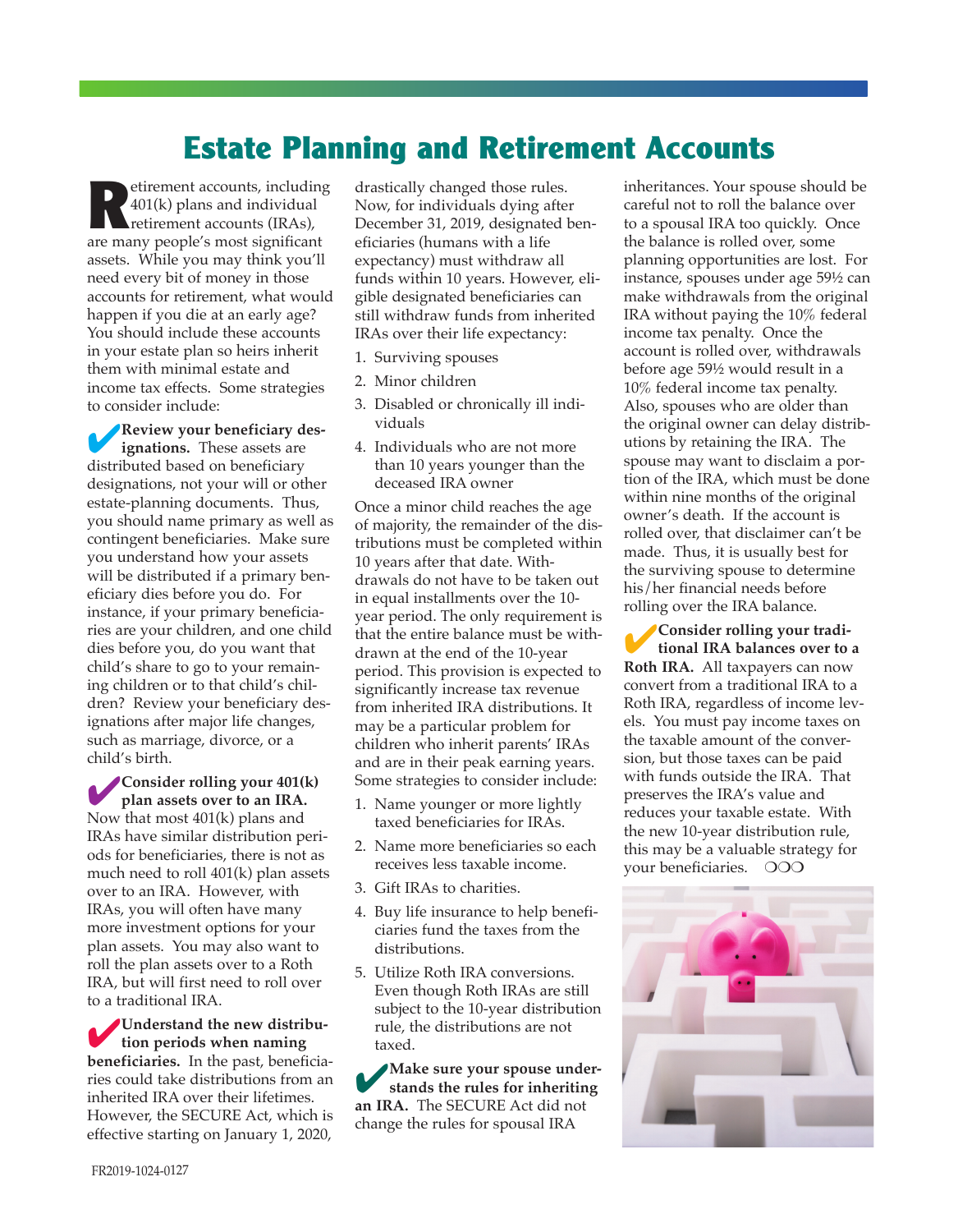### **Estate Planning and Retirement Accounts**

**Retirement accounts, including<br>**  $\begin{bmatrix} 401(k) \text{ plans and individual}\end{bmatrix}$ **<br>
retirement accounts (IRAs),<br>
retirement accounts (iRAs),** 401(k) plans and individual are many people's most significant assets. While you may think you'll need every bit of money in those accounts for retirement, what would happen if you die at an early age? You should include these accounts in your estate plan so heirs inherit them with minimal estate and income tax effects. Some strategies to consider include:

4**Review your beneficiary designations.** These assets are distributed based on beneficiary designations, not your will or other estate-planning documents. Thus, you should name primary as well as contingent beneficiaries. Make sure you understand how your assets will be distributed if a primary beneficiary dies before you do. For instance, if your primary beneficiaries are your children, and one child dies before you, do you want that child's share to go to your remaining children or to that child's children? Review your beneficiary designations after major life changes, such as marriage, divorce, or a child's birth.

4**Consider rolling your 401(k) plan assets over to an IRA.** Now that most 401(k) plans and IRAs have similar distribution periods for beneficiaries, there is not as much need to roll 401(k) plan assets over to an IRA. However, with IRAs, you will often have many more investment options for your plan assets. You may also want to roll the plan assets over to a Roth IRA, but will first need to roll over to a traditional IRA.

4**Understand the new distribution periods when naming beneficiaries.** In the past, beneficiaries could take distributions from an inherited IRA over their lifetimes. However, the SECURE Act, which is effective starting on January 1, 2020,

drastically changed those rules. Now, for individuals dying after December 31, 2019, designated beneficiaries (humans with a life expectancy) must withdraw all funds within 10 years. However, eligible designated beneficiaries can still withdraw funds from inherited IRAs over their life expectancy:

- 1. Surviving spouses
- 2. Minor children
- 3. Disabled or chronically ill individuals
- 4. Individuals who are not more than 10 years younger than the deceased IRA owner

Once a minor child reaches the age of majority, the remainder of the distributions must be completed within 10 years after that date. Withdrawals do not have to be taken out in equal installments over the 10 year period. The only requirement is that the entire balance must be withdrawn at the end of the 10-year period. This provision is expected to significantly increase tax revenue from inherited IRA distributions. It may be a particular problem for children who inherit parents' IRAs and are in their peak earning years. Some strategies to consider include:

- 1. Name younger or more lightly taxed beneficiaries for IRAs.
- 2. Name more beneficiaries so each receives less taxable income.
- 3. Gift IRAs to charities.
- 4. Buy life insurance to help beneficiaries fund the taxes from the distributions.
- 5. Utilize Roth IRA conversions. Even though Roth IRAs are still subject to the 10-year distribution rule, the distributions are not taxed.

4**Make sure your spouse understands the rules for inheriting an IRA.** The SECURE Act did not change the rules for spousal IRA

inheritances. Your spouse should be careful not to roll the balance over to a spousal IRA too quickly. Once the balance is rolled over, some planning opportunities are lost. For instance, spouses under age 59½ can make withdrawals from the original IRA without paying the 10% federal income tax penalty. Once the account is rolled over, withdrawals before age 59½ would result in a 10% federal income tax penalty. Also, spouses who are older than the original owner can delay distributions by retaining the IRA. The spouse may want to disclaim a portion of the IRA, which must be done within nine months of the original owner's death. If the account is rolled over, that disclaimer can't be made. Thus, it is usually best for the surviving spouse to determine his/her financial needs before rolling over the IRA balance.

4**Consider rolling your traditional IRA balances over to a Roth IRA.** All taxpayers can now convert from a traditional IRA to a Roth IRA, regardless of income levels. You must pay income taxes on the taxable amount of the conversion, but those taxes can be paid with funds outside the IRA. That preserves the IRA's value and reduces your taxable estate. With the new 10-year distribution rule, this may be a valuable strategy for your beneficiaries. OOO